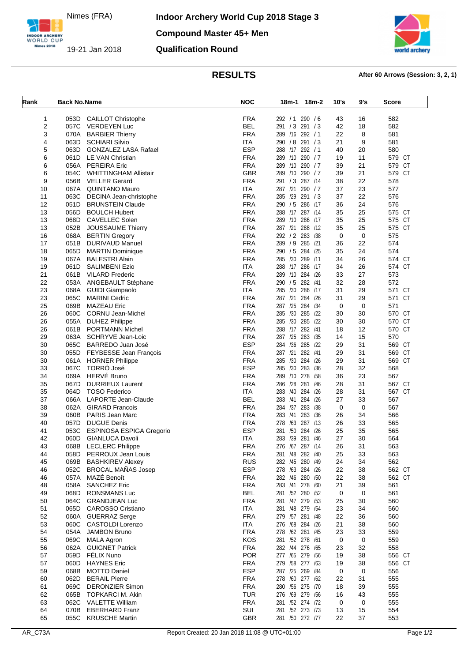Nimes (FRA)

INDOOR ARCHERY<br>WORLD CUP Nimes 2018

19-21 Jan 2018



## **RESULTS After 60 Arrows (Session: 3, 2, 1)**

| Rank     | <b>Back No.Name</b> |                                                   | <b>NOC</b>               | 18m-2<br>18m-1                     | 10's        | 9's         | Score            |
|----------|---------------------|---------------------------------------------------|--------------------------|------------------------------------|-------------|-------------|------------------|
| 1        | 053D                | <b>CAILLOT Christophe</b>                         | <b>FRA</b>               | 292 / 1 290 / 6                    | 43          | 16          | 582              |
| 2        | 057C                | <b>VERDEYEN Luc</b>                               | <b>BEL</b>               | 291 / 3 291 / 3                    | 42          | 18          | 582              |
| 3        | 070A                | <b>BARBIER Thierry</b>                            | <b>FRA</b>               | 289 /16 292 / 1                    | 22          | 8           | 581              |
| 4        | 063D                | <b>SCHIARI Silvio</b>                             | <b>ITA</b>               | 290 / 8 291 / 3                    | 21          | 9           | 581              |
| 5        | 063D                | GONZALEZ LASA Rafael                              | <b>ESP</b>               | 288 /17 292 / 1                    | 40          | 20          | 580              |
| 6        | 061D                | LE VAN Christian                                  | <b>FRA</b>               | 289 /10 290 / 7                    | 19          | 11          | 579 CT           |
| 6        | 056A                | <b>PEREIRA Eric</b>                               | <b>FRA</b><br><b>GBR</b> | 289 /10 290 / 7<br>289 /10 290 / 7 | 39          | 21<br>21    | 579 CT<br>579 CT |
| 6<br>9   | 054C<br>056B        | WHITTINGHAM Allistair<br><b>VELLER Gerard</b>     | <b>FRA</b>               | 291 / 3 287 / 14                   | 39<br>38    | 22          | 578              |
| 10       | 067A                | <b>QUINTANO Mauro</b>                             | <b>ITA</b>               | 287 /21 290 / 7                    | 37          | 23          | 577              |
| 11       | 063C                | DECINA Jean-christophe                            | <b>FRA</b>               | 285 /29 291 /3                     | 37          | 22          | 576              |
| 12       | 051D                | <b>BRUNSTEIN Claude</b>                           | <b>FRA</b>               | 290 / 5 286 /17                    | 36          | 24          | 576              |
| 13       | 056D                | <b>BOULCH Hubert</b>                              | <b>FRA</b>               | 288 /17 287 /14                    | 35          | 25          | 575 CT           |
| 13       | 068D                | <b>CAVELLEC Solen</b>                             | <b>FRA</b>               | 289 /10 286 /17                    | 35          | 25          | <b>CT</b><br>575 |
| 13       | 052B                | JOUSSAUME Thierry                                 | <b>FRA</b>               | 287 /21 288 /12                    | 35          | 25          | 575 CT           |
| 16       | 068A                | <b>BERTIN Gregory</b>                             | <b>FRA</b>               | 292 / 2 283 / 38                   | 0           | $\mathbf 0$ | 575              |
| 17       | 051B                | <b>DURIVAUD Manuel</b>                            | <b>FRA</b>               | 289 / 9 285 /21                    | 36          | 22          | 574              |
| 18       | 065D                | <b>MARTIN Dominique</b>                           | <b>FRA</b>               | 290 / 5 284 / 25                   | 35          | 24          | 574              |
| 19       | 067A                | <b>BALESTRI Alain</b>                             | <b>FRA</b>               | 285 /30 289 /11                    | 34          | 26          | 574 CT           |
| 19       | 061D                | <b>SALIMBENI Ezio</b>                             | <b>ITA</b>               | 288 /17 286 /17                    | 34          | 26          | 574 CT           |
| 21       | 061B                | <b>VILARD Frederic</b>                            | <b>FRA</b>               | 289 /10 284 /26                    | 33          | 27          | 573              |
| 22       | 053A                | ANGEBAULT Stéphane                                | <b>FRA</b>               | 290 / 5 282 / 41                   | 32          | 28          | 572              |
| 23       | 068A                | <b>GUIDI Giampaolo</b>                            | <b>ITA</b>               | 285 /30 286 /17                    | 31          | 29          | 571 CT           |
| 23       | 065C                | <b>MARINI Cedric</b>                              | <b>FRA</b>               | 287 /21 284 /26                    | 31          | 29          | 571 CT           |
| 25       | 069B                | <b>MAZEAU Eric</b>                                | <b>FRA</b><br><b>FRA</b> | 287 /25 284 /34<br>285 /30 285 /22 | 0           | $\mathbf 0$ | 571<br>570 CT    |
| 26<br>26 | 060C<br>055A        | <b>CORNU Jean-Michel</b><br><b>DUHEZ Philippe</b> | <b>FRA</b>               | 285 /30 285 /22                    | 30<br>30    | 30<br>30    | 570 CT           |
| 26       | 061B                | <b>PORTMANN Michel</b>                            | <b>FRA</b>               | 288 /17 282 /41                    | 18          | 12          | 570 CT           |
| 29       | 063A                | SCHRYVE Jean-Loic                                 | <b>FRA</b>               | 287 /25 283 /35                    | 14          | 15          | 570              |
| 30       | 065C                | BARREDO Juan José                                 | <b>ESP</b>               | 284 /36 285 /22                    | 29          | 31          | 569 CT           |
| 30       |                     | 055D FEYBESSE Jean François                       | <b>FRA</b>               | 287 /21 282 /41                    | 29          | 31          | 569 CT           |
| 30       | 061A                | <b>HORNER Philippe</b>                            | <b>FRA</b>               | 285 /30 284 /26                    | 29          | 31          | 569 CT           |
| 33       | 067C                | TORRÓ José                                        | <b>ESP</b>               | 285 /30 283 /36                    | 28          | 32          | 568              |
| 34       | 069A                | HERVÉ Bruno                                       | <b>FRA</b>               | 289 /10 278 /58                    | 36          | 23          | 567              |
| 35       | 067D                | <b>DURRIEUX Laurent</b>                           | <b>FRA</b>               | 286 /28 281 /46                    | 28          | 31          | 567 CT           |
| 35       | 064D                | <b>TOSO Federico</b>                              | ITA                      | 283 /40 284 /26                    | 28          | 31          | 567 CT           |
| 37       | 066A                | LAPORTE Jean-Claude                               | <b>BEL</b>               | 283 /41 284 /26                    | 27          | 33          | 567              |
| 38       | 062A                | <b>GIRARD Francois</b>                            | <b>FRA</b>               | 284 /37 283 /38                    | $\mathbf 0$ | 0           | 567              |
| 39       | 060B                | <b>PARIS Jean Marc</b>                            | <b>FRA</b>               | 283 /41<br>283 /36                 | 26          | 34          | 566              |
| 40       | 057D                | <b>DUGUE Denis</b>                                | <b>FRA</b>               | 278 /63 287 /13                    | 26          | 33          | 565              |
| 41       | 053C                | <b>ESPINOSA ESPIGA Gregorio</b>                   | <b>ESP</b>               | 281 /50 284 /26                    | 25          | 35          | 565              |
| 42       | 060D                | <b>GIANLUCA Davoli</b>                            | ITA                      | 283 /39 281 /46<br>276 /67 287 /14 | 27          | 30          | 564              |
| 43<br>44 |                     | 068B LECLERC Philippe<br>058D PERROUX Jean Louis  | <b>FRA</b><br><b>FRA</b> | 281 /48 282 /40                    | 26<br>25    | 31<br>33    | 563<br>563       |
| 45       |                     | 069B BASHKIREV Alexey                             | <b>RUS</b>               | 282 /45 280 /49                    | 24          | 34          | 562              |
| 46       |                     | 052C BROCAL MAÑAS Josep                           | <b>ESP</b>               | 278 /63 284 /26                    | 22          | 38          | 562 CT           |
| 46       | 057A                | MAZÉ Benoît                                       | <b>FRA</b>               | 282 /46 280 /50                    | 22          | 38          | 562 CT           |
| 48       | 058A                | <b>SANCHEZ Eric</b>                               | <b>FRA</b>               | 283 /41 278 /60                    | 21          | 39          | 561              |
| 49       | 068D                | <b>RONSMANS Luc</b>                               | <b>BEL</b>               | 281 /52 280 /52                    | 0           | 0           | 561              |
| 50       | 064C                | <b>GRANDJEAN Luc</b>                              | <b>FRA</b>               | 281 /47 279 /53                    | 25          | 30          | 560              |
| 51       | 065D                | <b>CAROSSO Cristiano</b>                          | <b>ITA</b>               | 281 /48 279 /54                    | 23          | 34          | 560              |
| 52       |                     | 060A GUERRAZ Serge                                | <b>FRA</b>               | 279 /57 281 /48                    | 22          | 36          | 560              |
| 53       | 060C                | <b>CASTOLDI Lorenzo</b>                           | <b>ITA</b>               | 276 /68 284 /26                    | 21          | 38          | 560              |
| 54       | 054A                | <b>JAMBON Bruno</b>                               | <b>FRA</b>               | 278 /62 281 /45                    | 23          | 33          | 559              |
| 55       | 069C                | <b>MALA Agron</b>                                 | <b>KOS</b>               | 281 /52 278 /61                    | 0           | 0           | 559              |
| 56       | 062A                | <b>GUIGNET Patrick</b>                            | <b>FRA</b>               | 282 /44 276 /65                    | 23          | 32          | 558              |
| 57       | 059D                | FÉLIX Nuno                                        | <b>POR</b>               | 277 /65 279 /56                    | 19          | 38          | 556 CT           |
| 57<br>59 | 060D<br>068B        | <b>HAYNES Eric</b><br><b>MOTTO Daniel</b>         | <b>FRA</b><br><b>ESP</b> | 279 /58 277 /63<br>287 /25 269 /84 | 19          | 38          | 556 CT<br>556    |
| 60       | 062D                | <b>BERAIL Pierre</b>                              | <b>FRA</b>               | 278 /60 277 /62                    | 0<br>22     | 0<br>31     | 555              |
| 61       | 069C                | <b>DERONZIER Simon</b>                            | <b>FRA</b>               | 280 /56 275 /70                    | 18          | 39          | 555              |
| 62       | 065B                | TOPKARCI M. Akin                                  | <b>TUR</b>               | 276 /69 279 /56                    | 16          | 43          | 555              |
| 63       | 062C                | <b>VALETTE William</b>                            | <b>FRA</b>               | 281 /52 274 /72                    | 0           | 0           | 555              |
| 64       | 070B                | <b>EBERHARD Franz</b>                             | SUI                      | 281 /52 273 /73                    | 13          | 15          | 554              |
| 65       | 055C                | <b>KRUSCHE Martin</b>                             | <b>GBR</b>               | 281 /50 272 /77                    | 22          | 37          | 553              |
|          |                     |                                                   |                          |                                    |             |             |                  |